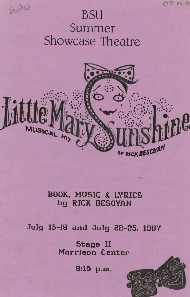

# BSU Summer Showcase Theatre

620



### BOOK, MUSIC & LYRICS by RICK BESOYAN

July 15-18 and July 22-25, 1987

Stage II Morrison Center

8:15 p.m.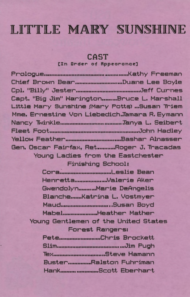## LITTLE MARY SUNSHINE

### **CAST**

#### [In Order of Appearance]

| Chief Brown BearDuane Lee Boyle               |  |
|-----------------------------------------------|--|
|                                               |  |
| Capt. "Big Jim" WaringtonBruce L. Marshall    |  |
| Little Mary Sunshine (Mary Potts) Susan Triem |  |
| Mme. Ernestine Von Liebedich.Tamara R. Eymann |  |
|                                               |  |
|                                               |  |
|                                               |  |
| Gen. Oscar Fairfax, RetRoger J. Tracadas      |  |
| Young Ladies from the Eastchester             |  |
| Finishing School:                             |  |
|                                               |  |
| HenrettaValerie Aker                          |  |
| GwendolynMarie DeAngelis                      |  |
| BlancheKatrina L. Vostmyer                    |  |
|                                               |  |
| MabelHeather Mather                           |  |
| Young Gentlemen of the United States          |  |
| Forest Rangers:                               |  |
| PeteChris Brockett                            |  |
|                                               |  |
| TexSteve Hamann                               |  |
| BusterRalston Fuhriman                        |  |
| HankScott Eberhart                            |  |
|                                               |  |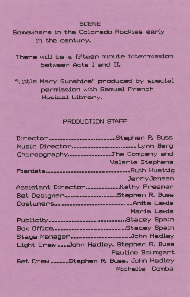**SCENE** 

Somewhere in the Colorado Rockies early in the century.

There will be a fifteen minute intermission between Acts I and II.

"Little Mary Sunshine" produced by special permission with Samuel French Musical Library.

#### PRODUCTION STAFF

| Valerie Stephens                        |
|-----------------------------------------|
|                                         |
| JerryJensen                             |
|                                         |
| Set DesignerStephen R. Buss             |
|                                         |
| Maria Lewis                             |
|                                         |
|                                         |
|                                         |
| Light Crew John Hadley, Stephen R. Buss |
| Pauline Baumgart                        |
| Set Crew Stephen R. Buss, John Hadley   |
| Michelle Comba                          |
|                                         |